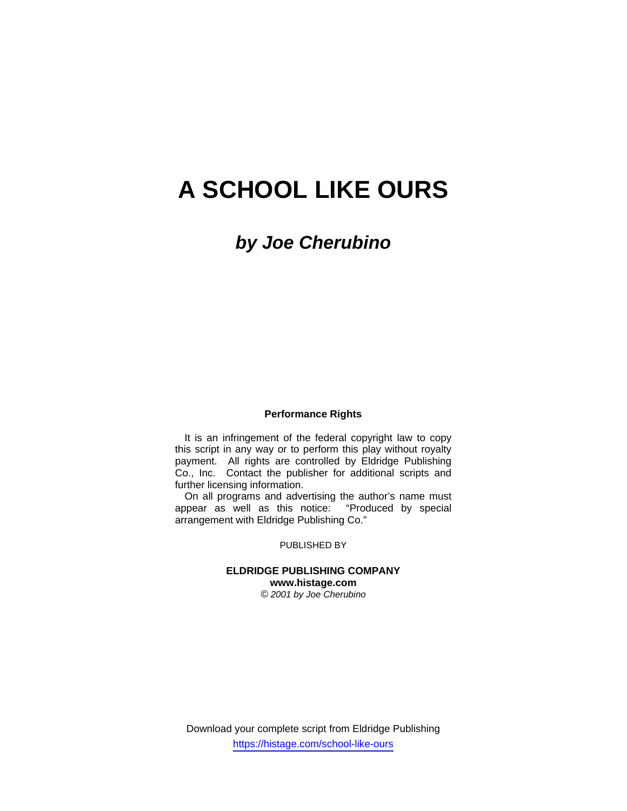# **A SCHOOL LIKE OURS**

*by Joe Cherubino*

#### **Performance Rights**

It is an infringement of the federal copyright law to copy this script in any way or to perform this play without royalty payment. All rights are controlled by Eldridge Publishing Co., Inc. Contact the publisher for additional scripts and further licensing information.

On all programs and advertising the author's name must appear as well as this notice: "Produced by special arrangement with Eldridge Publishing Co."

### PUBLISHED BY

#### **ELDRIDGE PUBLISHING COMPANY www.histage.com** *© 2001 by Joe Cherubino*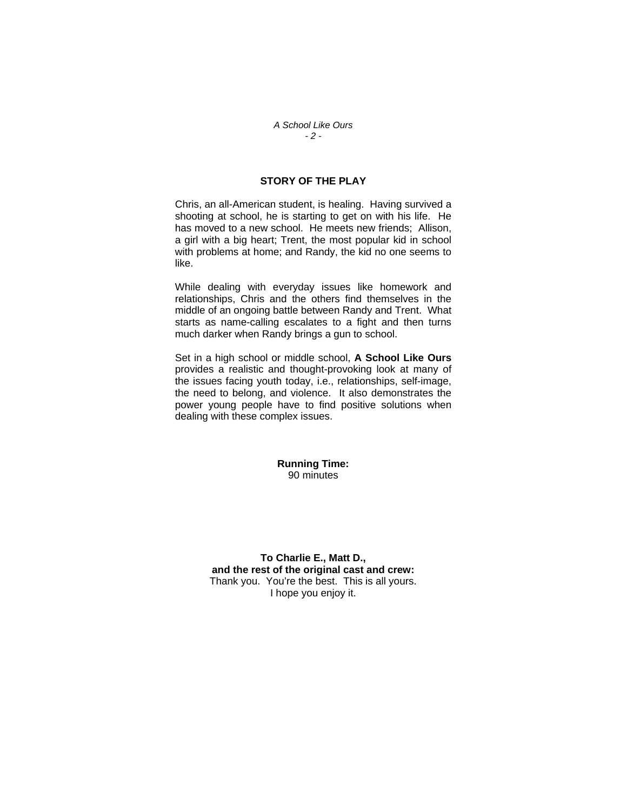#### *A School Like Ours - 2 -*

## **STORY OF THE PLAY**

Chris, an all-American student, is healing. Having survived a shooting at school, he is starting to get on with his life. He has moved to a new school. He meets new friends; Allison, a girl with a big heart; Trent, the most popular kid in school with problems at home; and Randy, the kid no one seems to like.

While dealing with everyday issues like homework and relationships, Chris and the others find themselves in the middle of an ongoing battle between Randy and Trent. What starts as name-calling escalates to a fight and then turns much darker when Randy brings a gun to school.

Set in a high school or middle school, **A School Like Ours** provides a realistic and thought-provoking look at many of the issues facing youth today, i.e., relationships, self-image, the need to belong, and violence. It also demonstrates the power young people have to find positive solutions when dealing with these complex issues.

#### **Running Time:** 90 minutes

**To Charlie E., Matt D., and the rest of the original cast and crew:**  Thank you. You're the best. This is all yours. I hope you enjoy it.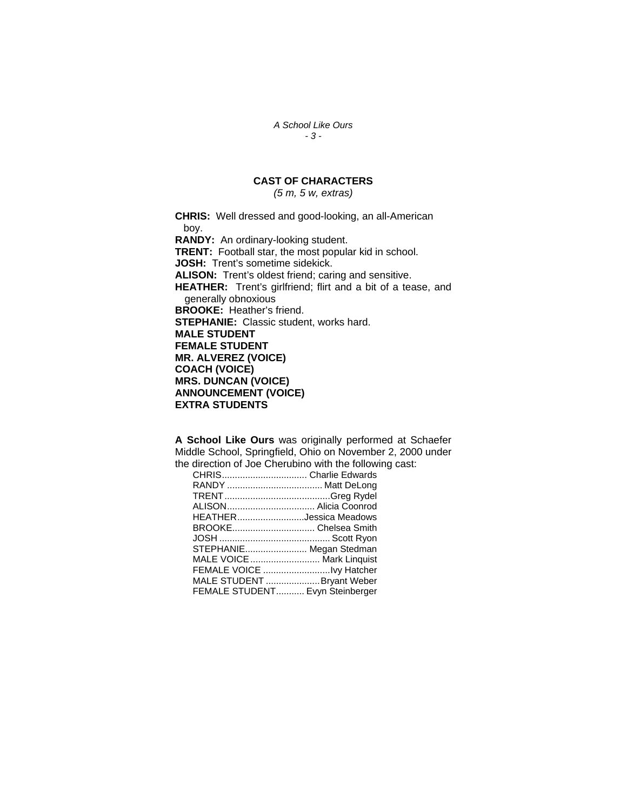*A School Like Ours - 3 -* 

## **CAST OF CHARACTERS**

*(5 m, 5 w, extras)* 

**CHRIS:** Well dressed and good-looking, an all-American boy. **RANDY:** An ordinary-looking student. **TRENT:** Football star, the most popular kid in school. **JOSH:** Trent's sometime sidekick. **ALISON:** Trent's oldest friend; caring and sensitive. **HEATHER:** Trent's girlfriend; flirt and a bit of a tease, and generally obnoxious **BROOKE:** Heather's friend. **STEPHANIE:** Classic student, works hard. **MALE STUDENT FEMALE STUDENT MR. ALVEREZ (VOICE) COACH (VOICE) MRS. DUNCAN (VOICE) ANNOUNCEMENT (VOICE) EXTRA STUDENTS** 

**A School Like Ours** was originally performed at Schaefer Middle School, Springfield, Ohio on November 2, 2000 under the direction of Joe Cherubino with the following cast:

| ALISON Alicia Coonrod           |
|---------------------------------|
| HEATHERJessica Meadows          |
|                                 |
|                                 |
| STEPHANIE Megan Stedman         |
| MALE VOICE  Mark Linguist       |
|                                 |
| MALE STUDENT  Bryant Weber      |
| FEMALE STUDENT Evyn Steinberger |
|                                 |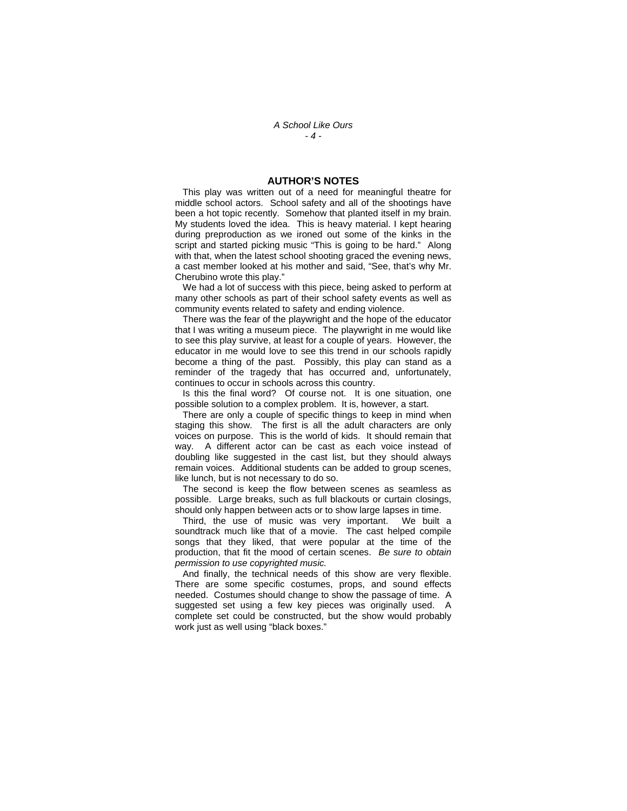*A School Like Ours - 4 -* 

#### **AUTHOR'S NOTES**

 This play was written out of a need for meaningful theatre for middle school actors. School safety and all of the shootings have been a hot topic recently. Somehow that planted itself in my brain. My students loved the idea. This is heavy material. I kept hearing during preproduction as we ironed out some of the kinks in the script and started picking music "This is going to be hard." Along with that, when the latest school shooting graced the evening news, a cast member looked at his mother and said, "See, that's why Mr. Cherubino wrote this play."

 We had a lot of success with this piece, being asked to perform at many other schools as part of their school safety events as well as community events related to safety and ending violence.

 There was the fear of the playwright and the hope of the educator that I was writing a museum piece. The playwright in me would like to see this play survive, at least for a couple of years. However, the educator in me would love to see this trend in our schools rapidly become a thing of the past. Possibly, this play can stand as a reminder of the tragedy that has occurred and, unfortunately, continues to occur in schools across this country.

 Is this the final word? Of course not. It is one situation, one possible solution to a complex problem. It is, however, a start.

 There are only a couple of specific things to keep in mind when staging this show. The first is all the adult characters are only voices on purpose. This is the world of kids. It should remain that way. A different actor can be cast as each voice instead of doubling like suggested in the cast list, but they should always remain voices. Additional students can be added to group scenes, like lunch, but is not necessary to do so.

 The second is keep the flow between scenes as seamless as possible. Large breaks, such as full blackouts or curtain closings, should only happen between acts or to show large lapses in time.

 Third, the use of music was very important. We built a soundtrack much like that of a movie. The cast helped compile songs that they liked, that were popular at the time of the production, that fit the mood of certain scenes. *Be sure to obtain permission to use copyrighted music.* 

 And finally, the technical needs of this show are very flexible. There are some specific costumes, props, and sound effects needed. Costumes should change to show the passage of time. A suggested set using a few key pieces was originally used. A complete set could be constructed, but the show would probably work just as well using "black boxes."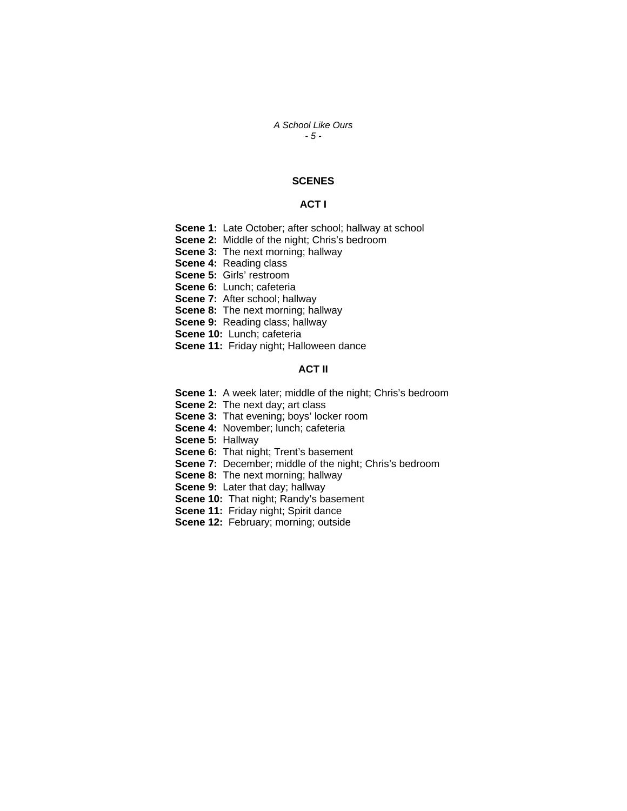#### *A School Like Ours - 5 -*

## **SCENES**

#### **ACT I**

- **Scene 1:** Late October; after school; hallway at school
- **Scene 2:** Middle of the night; Chris's bedroom
- **Scene 3: The next morning; hallway**
- **Scene 4:** Reading class
- **Scene 5:** Girls' restroom
- **Scene 6:** Lunch; cafeteria
- **Scene 7:** After school; hallway
- **Scene 8:** The next morning; hallway
- **Scene 9:** Reading class; hallway
- **Scene 10:** Lunch; cafeteria
- **Scene 11:** Friday night; Halloween dance

## **ACT II**

- **Scene 1:** A week later; middle of the night; Chris's bedroom
- **Scene 2:** The next day; art class
- **Scene 3: That evening; boys' locker room**
- **Scene 4:** November; lunch; cafeteria
- **Scene 5:** Hallway
- **Scene 6:** That night; Trent's basement
- **Scene 7:** December; middle of the night; Chris's bedroom
- **Scene 8:** The next morning; hallway
- **Scene 9:** Later that day; hallway
- **Scene 10:** That night; Randy's basement
- **Scene 11:** Friday night; Spirit dance
- **Scene 12:** February; morning; outside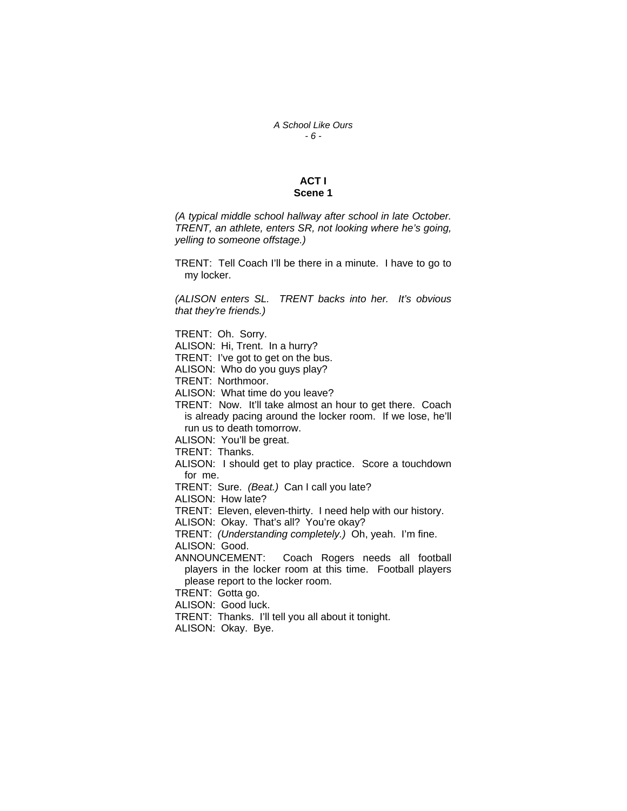#### *A School Like Ours - 6 -*

## **ACT I Scene 1**

*(A typical middle school hallway after school in late October. TRENT, an athlete, enters SR, not looking where he's going, yelling to someone offstage.)* 

TRENT: Tell Coach I'll be there in a minute. I have to go to my locker.

*(ALISON enters SL. TRENT backs into her. It's obvious that they're friends.)* 

TRENT: Oh. Sorry.

ALISON: Hi, Trent. In a hurry?

TRENT: I've got to get on the bus.

ALISON: Who do you guys play?

TRENT: Northmoor.

ALISON: What time do you leave?

TRENT: Now. It'll take almost an hour to get there. Coach is already pacing around the locker room. If we lose, he'll run us to death tomorrow.

ALISON: You'll be great.

TRENT: Thanks.

ALISON: I should get to play practice. Score a touchdown for me.

TRENT: Sure. *(Beat.)* Can I call you late?

ALISON: How late?

TRENT: Eleven, eleven-thirty. I need help with our history.

ALISON: Okay. That's all? You're okay?

TRENT: *(Understanding completely.)* Oh, yeah. I'm fine.

ALISON: Good.

ANNOUNCEMENT: Coach Rogers needs all football players in the locker room at this time. Football players please report to the locker room.

TRENT: Gotta go.

ALISON: Good luck.

TRENT: Thanks. I'll tell you all about it tonight.

ALISON: Okay. Bye.